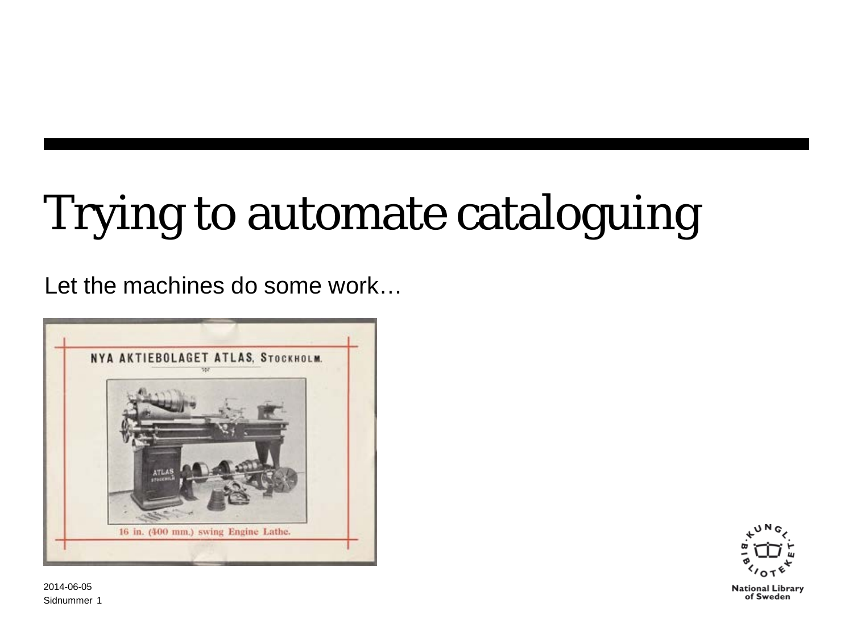# Trying to automate cataloguing

Let the machines do some work…





Sidnummer 1 2014-06-05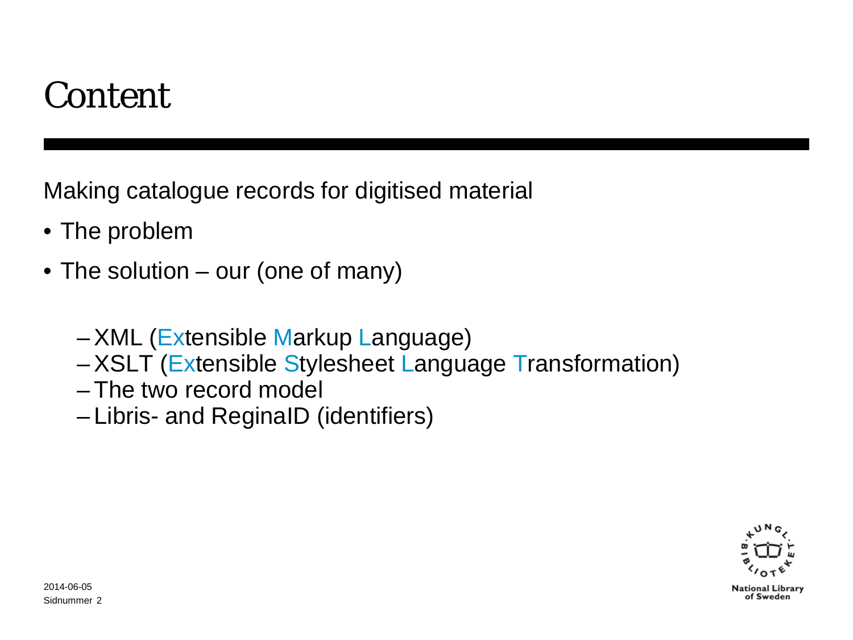### Content

Making catalogue records for digitised material

- The problem
- The solution our (one of many)
	- –XML (Extensible Markup Language)
	- –XSLT (Extensible Stylesheet Language Transformation)
	- The two record model
	- Libris- and ReginaID (identifiers)

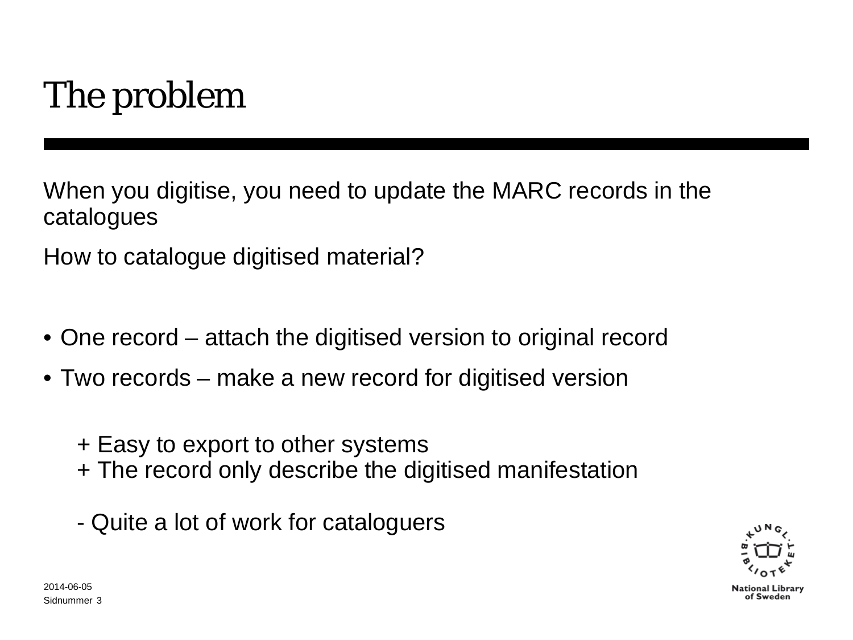# The problem

When you digitise, you need to update the MARC records in the catalogues

How to catalogue digitised material?

- One record attach the digitised version to original record
- Two records make a new record for digitised version
	- + Easy to export to other systems
	- + The record only describe the digitised manifestation
	- Quite a lot of work for cataloguers

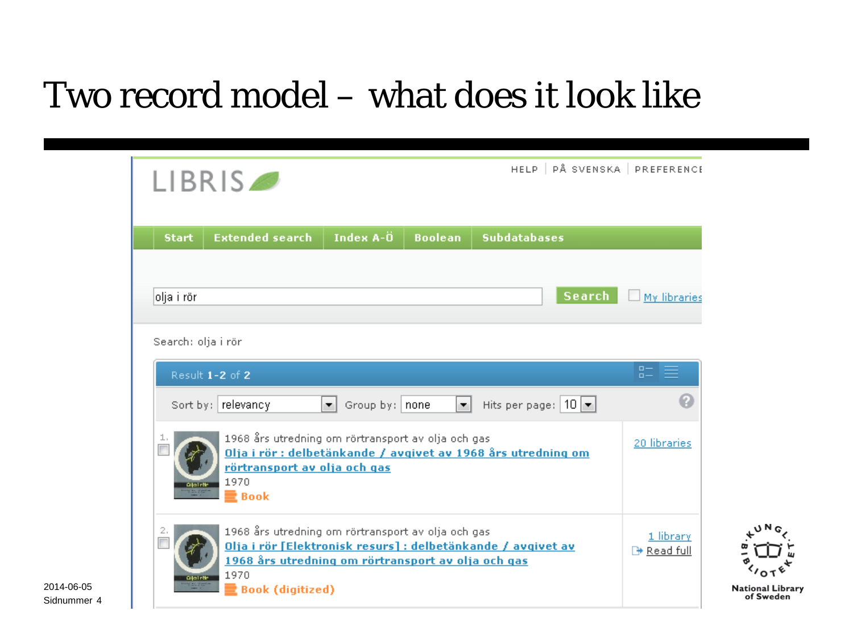### Two record model – what does it look like

|                        | LIBRIS <sup>®</sup>                                                                                                                                                                                         |                                                 |                |                     |                                 | HELP   PÅ SVENSKA   PREFERENCE       |
|------------------------|-------------------------------------------------------------------------------------------------------------------------------------------------------------------------------------------------------------|-------------------------------------------------|----------------|---------------------|---------------------------------|--------------------------------------|
| <b>Start</b>           | <b>Extended search</b>                                                                                                                                                                                      | Index A-0                                       | <b>Boolean</b> | <b>Subdatabases</b> |                                 |                                      |
| olja i rör             |                                                                                                                                                                                                             |                                                 |                |                     | Search                          | <b>My libraries</b>                  |
|                        | Search: olja i rör                                                                                                                                                                                          |                                                 |                |                     |                                 | $\Box -$                             |
|                        | Result 1-2 of 2<br>Sort by: relevancy                                                                                                                                                                       | $\left  \mathbf{v} \right $<br>Group by:   none | ∼∣             |                     | Hits per page: $ 10 $ $\bullet$ | $n -$                                |
| ı<br><b>Oliville H</b> | 1968 års utredning om rörtransport av olja och gas<br>Olja i rör: delbetänkande / avgivet av 1968 års utredning om<br>rörtransport av olja och gas<br>1970<br>■ Book                                        |                                                 |                |                     |                                 | 20 libraries                         |
| 2.<br><b>Qialrity</b>  | 1968 års utredning om rörtransport av olja och gas<br>Olja i rör [Elektronisk resurs] : delbetänkande / avgivet av<br>1968 års utredning om rörtransport av olja och gas<br>1970<br><b>Book (digitized)</b> |                                                 |                |                     |                                 | 1 library<br>$\rightarrow$ Read full |

Sidnummer 42014-06-05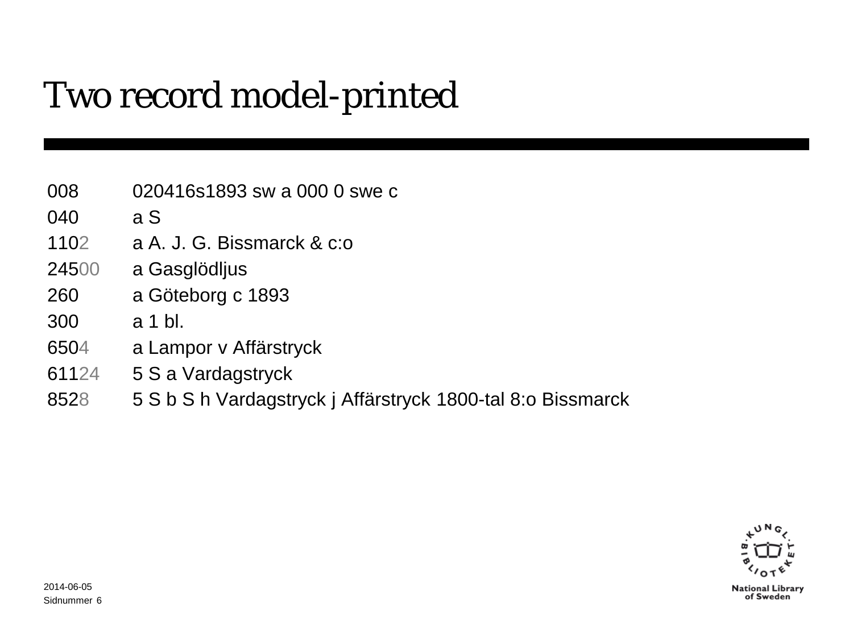### Two record model-printed

- 020416s1893 sw a 000 0 swe c
- a S
- a A. J. G. Bissmarck & c:o
- a Gasglödljus
- a Göteborg c 1893
- a 1 bl.
- a Lampor v Affärstryck
- 5 S a Vardagstryck
- 5 S b S h Vardagstryck j Affärstryck 1800-tal 8:o Bissmarck

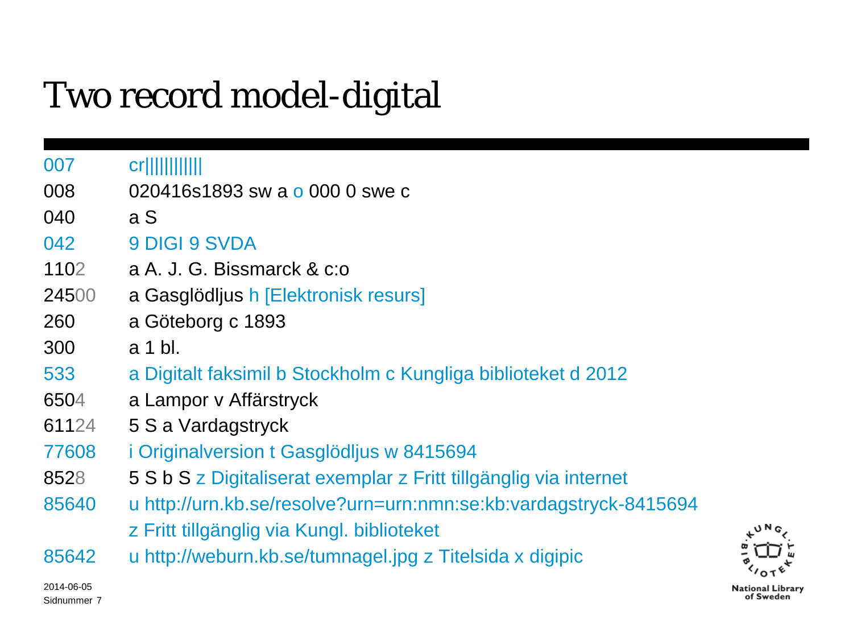### Two record model-digital

Sidnummer 7

| 007        | cr                                                                |                  |
|------------|-------------------------------------------------------------------|------------------|
| 008        | 020416s1893 sw a o 000 0 swe c                                    |                  |
| 040        | a S                                                               |                  |
| 042        | 9 DIGI 9 SVDA                                                     |                  |
| 1102       | a A. J. G. Bissmarck & c:o                                        |                  |
| 24500      | a Gasglödljus h [Elektronisk resurs]                              |                  |
| 260        | a Göteborg c 1893                                                 |                  |
| 300        | a 1 bl.                                                           |                  |
| 533        | a Digitalt faksimil b Stockholm c Kungliga biblioteket d 2012     |                  |
| 6504       | a Lampor v Affärstryck                                            |                  |
| 61124      | 5 S a Vardagstryck                                                |                  |
| 77608      | <i>i</i> Originalversion t Gasglödljus w 8415694                  |                  |
| 8528       | 5 S b S z Digitaliserat exemplar z Fritt tillgänglig via internet |                  |
| 85640      | u http://urn.kb.se/resolve?urn=urn:nmn:se:kb:vardagstryck-8415694 |                  |
|            | z Fritt tillgänglig via Kungl. biblioteket                        | υN.              |
| 85642      | u http://weburn.kb.se/tumnagel.jpg z Titelsida x digipic          |                  |
| 2014-06-05 |                                                                   | National Librarv |

**National Library** of Sweden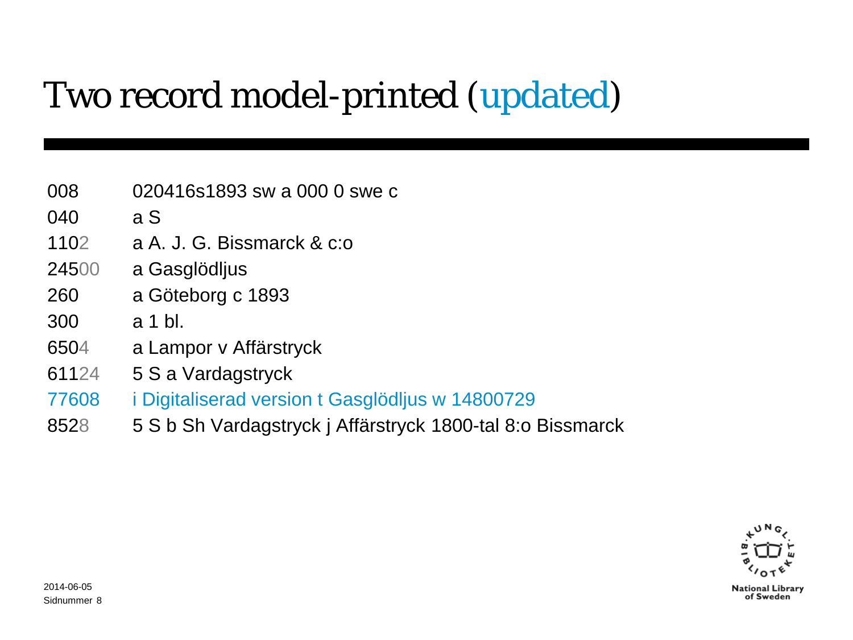### Two record model-printed (updated)

- 020416s1893 sw a 000 0 swe c
- a S
- a A. J. G. Bissmarck & c:o
- a Gasglödljus
- a Göteborg c 1893
- a 1 bl.
- a Lampor v Affärstryck
- 5 S a Vardagstryck
- i Digitaliserad version t Gasglödljus w 14800729
- 5 S b Sh Vardagstryck j Affärstryck 1800-tal 8:o Bissmarck

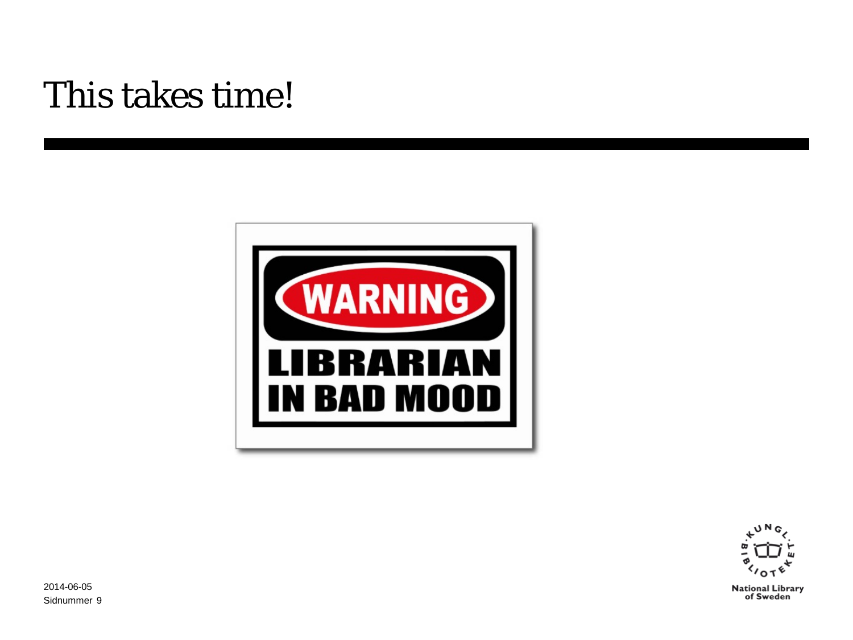### This takes time!





Sidnummer 92014-06-05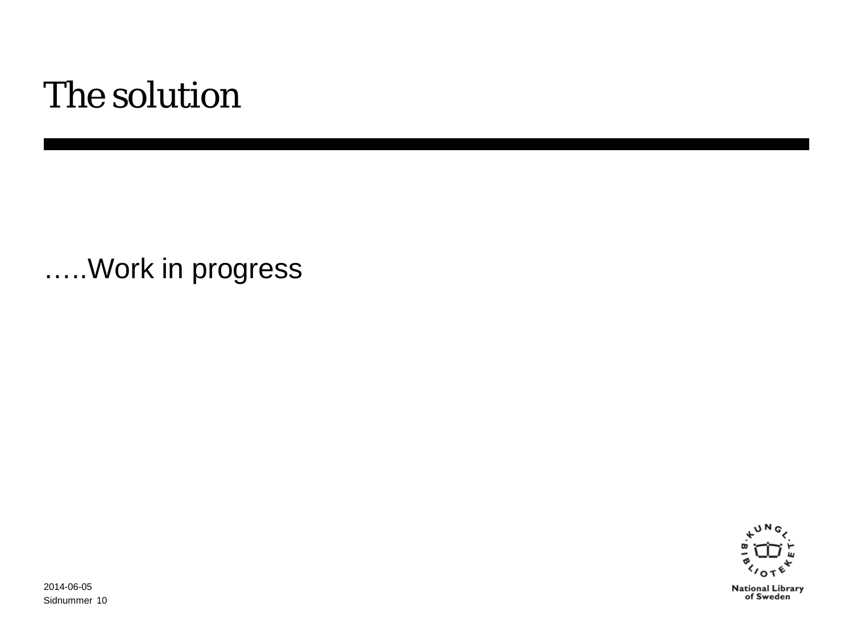### The solution

…..Work in progress



Sidnummer 102014-06-05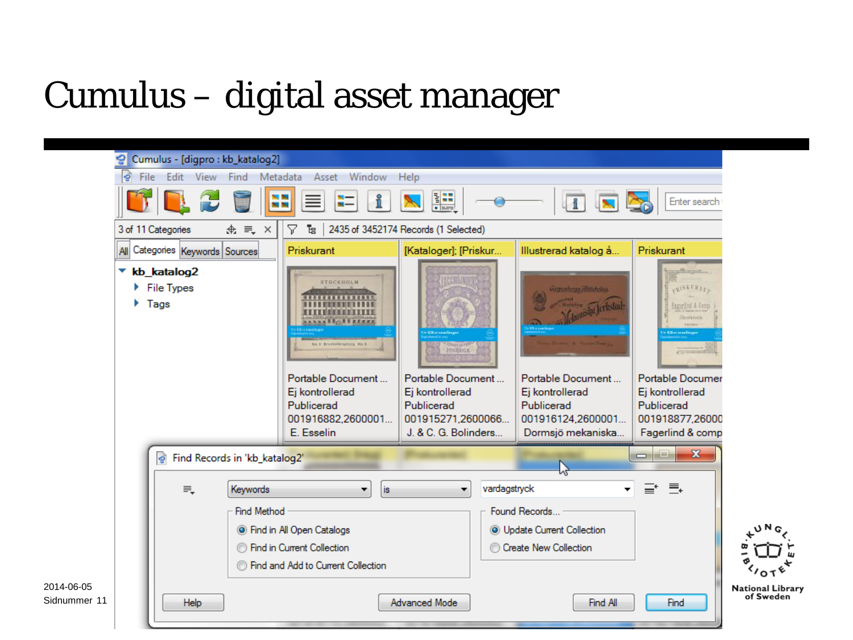### Cumulus – digital asset manager

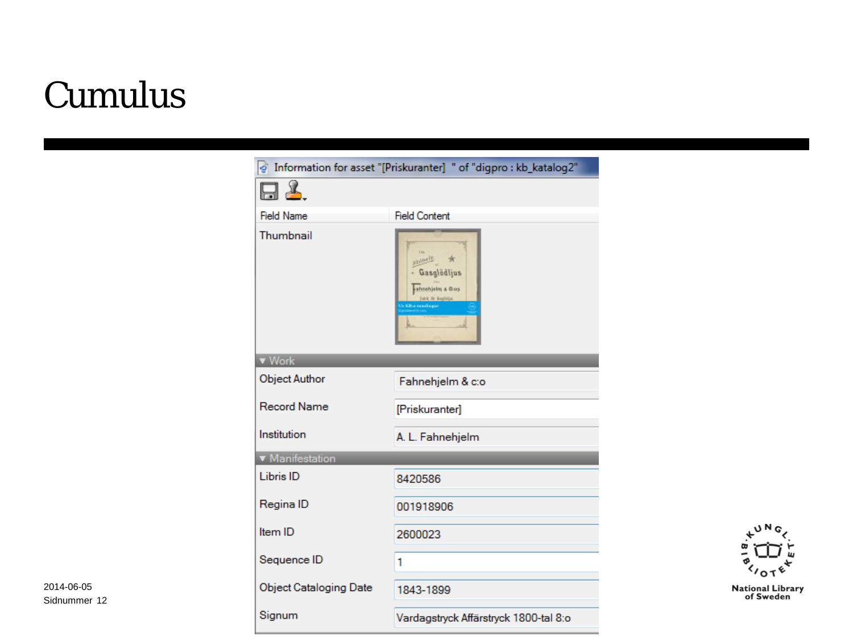### Cumulus





Sidnummer 122014-06-05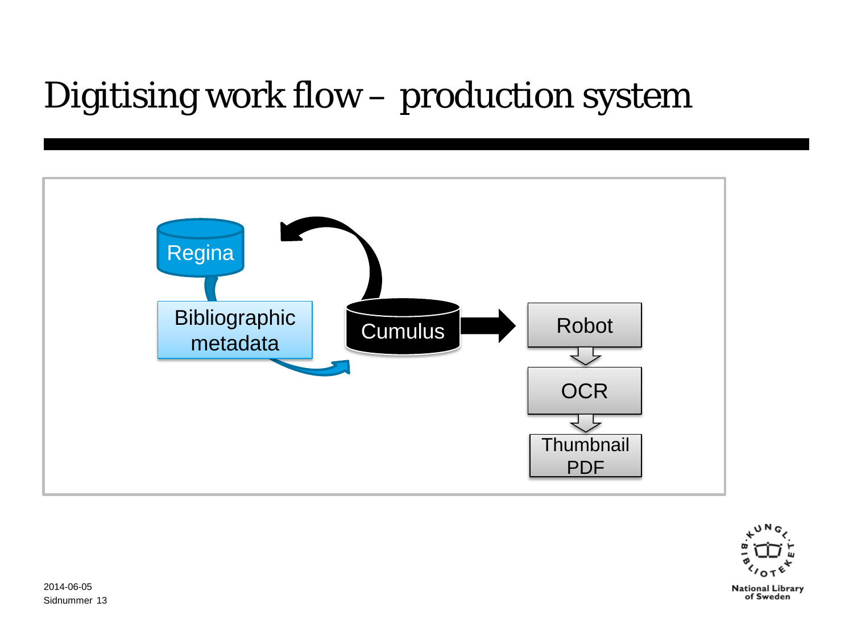### Digitising work flow – production system



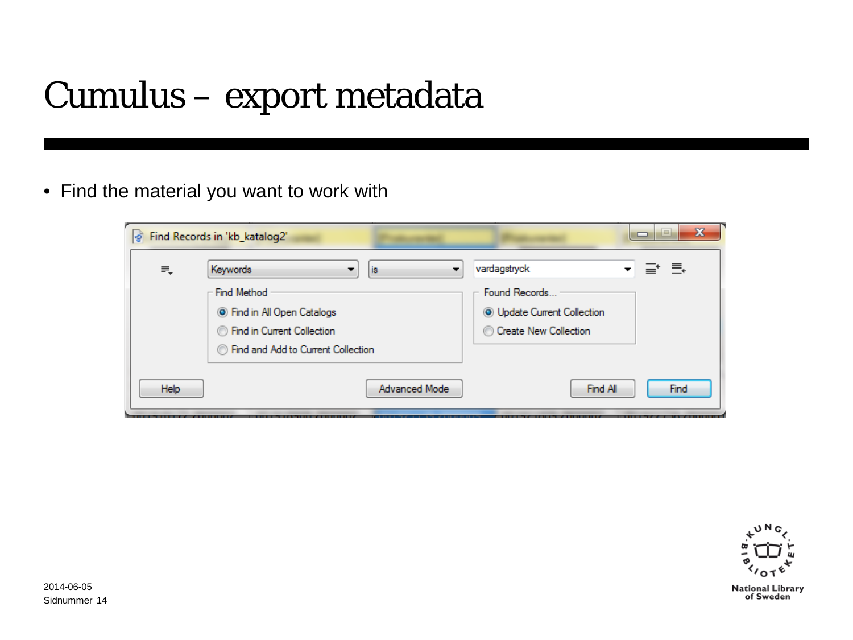### Cumulus – export metadata

• Find the material you want to work with

| l gì | Find Records in 'kb_katalog2'                    |                                    | x<br>$\Box$ |
|------|--------------------------------------------------|------------------------------------|-------------|
| ₹    | Keywords<br>is                                   | vardagstryck                       | ⊒* ≣÷       |
|      | - Find Method                                    | Found Records                      |             |
|      | <b>O</b> Find in All Open Catalogs               | <b>O</b> Update Current Collection |             |
|      | <b>Second</b> in Current Collection              | Create New Collection              |             |
|      | <b>Second</b> Find and Add to Current Collection |                                    |             |
|      |                                                  |                                    |             |
| Help | Advanced Mode                                    | Find All                           | Find        |
|      |                                                  |                                    |             |

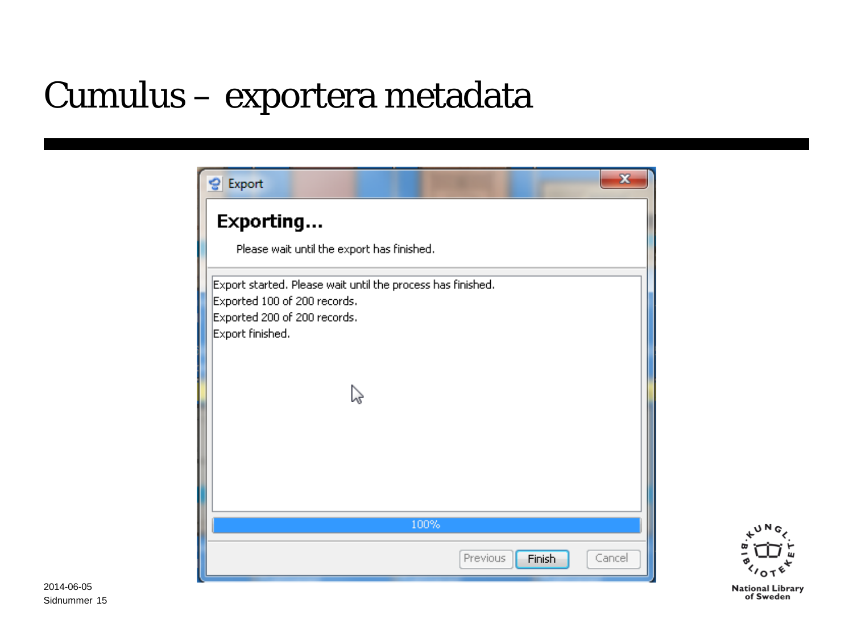### Cumulus – exportera metadata



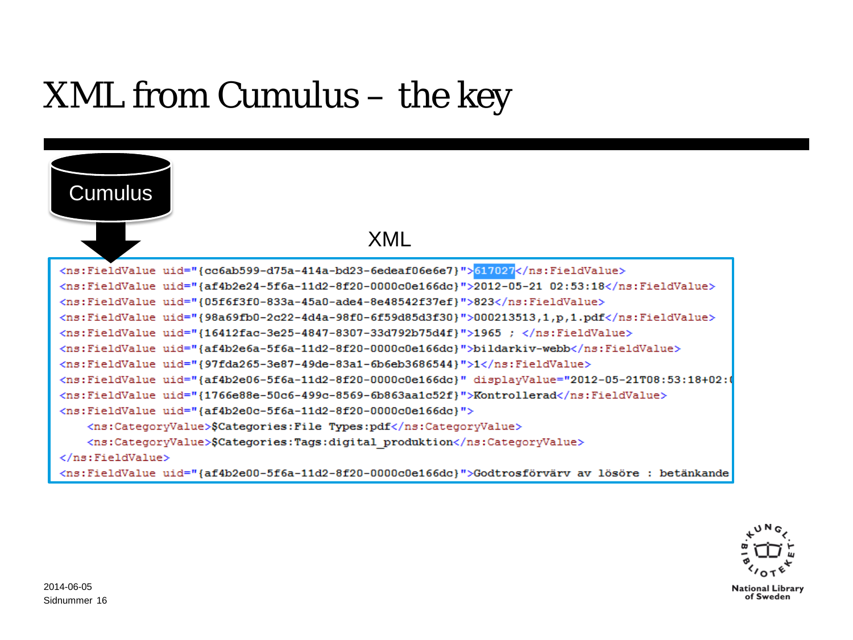### XML from Cumulus – the key



#### XML

<ns:FieldValue uid="{cc6ab599-d75a-414a-bd23-6edeaf06e6e7}">617027</ns:FieldValue> <ns:FieldValue uid="{af4b2e24-5f6a-11d2-8f20-0000c0e166dc}">2012-05-21 02:53:18</ns:FieldValue> <ns:FieldValue uid="{05f6f3f0-833a-45a0-ade4-8e48542f37ef}">823</ns:FieldValue> <ns:FieldValue uid="{98a69fb0-2c22-4d4a-98f0-6f59d85d3f30}">000213513,1,p,1.pdf</ns:FieldValue> <ns:FieldValue uid="{16412fac-3e25-4847-8307-33d792b75d4f}">1965 ; </ns:FieldValue> <ns:FieldValue uid="{af4b2e6a-5f6a-11d2-8f20-0000c0e166dc}">bildarkiv-webb</ns:FieldValue> <ns:FieldValue uid="{97fda265-3e87-49de-83a1-6b6eb3686544}">1</ns:FieldValue> <ns:FieldValue uid="{af4b2e06-5f6a-11d2-8f20-0000c0e166dc}" displayValue="2012-05-21T08:53:18+02: <ns:FieldValue uid="{1766e88e-50c6-499c-8569-6b863aa1c52f}">Kontrollerad</ns:FieldValue> <ns:FieldValue uid="{af4b2e0c-5f6a-11d2-8f20-0000c0e166dc}"> <ns:CategoryValue>\$Categories:File Types:pdf</ns:CategoryValue> <ns:CategoryValue>\$Categories:Tags:digital produktion</ns:CategoryValue> </ns:FieldValue> <ns:FieldValue uid="{af4b2e00-5f6a-11d2-8f20-0000c0e166dc}">Godtrosförvärv av lösöre : betänkande

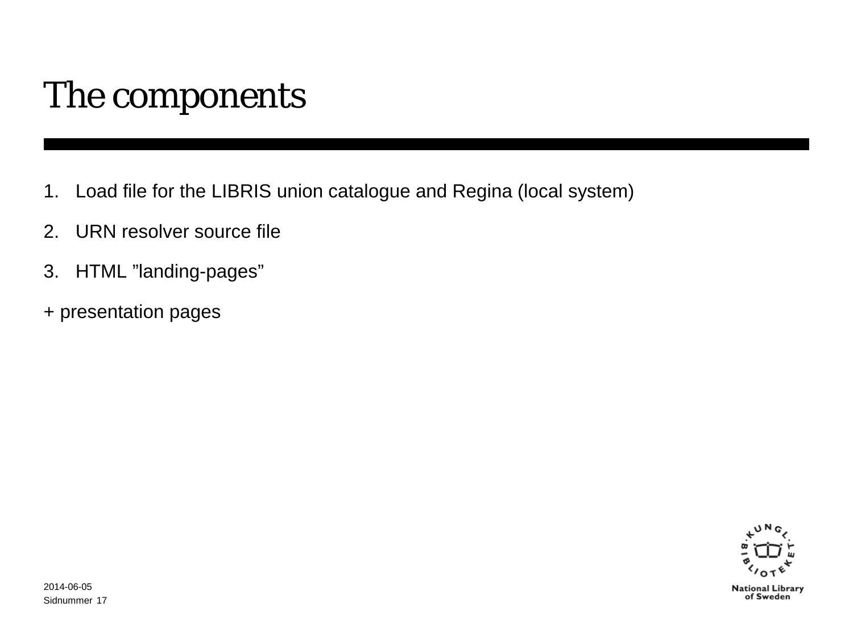### The components

- 1. Load file for the LIBRIS union catalogue and Regina (local system)
- 2. URN resolver source file
- 3. HTML "landing-pages"
- + presentation pages

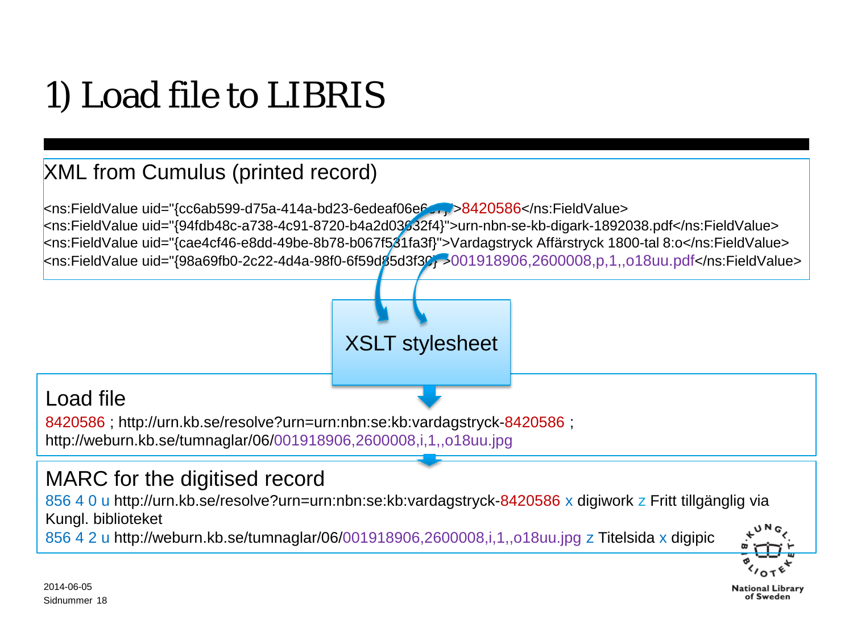# 1) Load file to LIBRIS

### XML from Cumulus (printed record)

<ns:FieldValue uid="{cc6ab599-d75a-414a-bd23-6edeaf06e6e7}">8420586</ns:FieldValue> <ns:FieldValue uid="{94fdb48c-a738-4c91-8720-b4a2d03632f4}">urn-nbn-se-kb-digark-1892038.pdf</ns:FieldValue> <ns:FieldValue uid="{cae4cf46-e8dd-49be-8b78-b067f531fa3f}">Vardagstryck Affärstryck 1800-tal 8:o</ns:FieldValue> <ns:FieldValue uid="{98a69fb0-2c22-4d4a-98f0-6f59d85d3f30}">001918906,2600008,p,1,,o18uu.pdf</ns:FieldValue>



### Load file

8420586 ; http://urn.kb.se/resolve?urn=urn:nbn:se:kb:vardagstryck-8420586 ; http://weburn.kb.se/tumnaglar/06/001918906,2600008,i,1,,o18uu.jpg

### MARC for the digitised record

856 4 0 u http://urn.kb.se/resolve?urn=urn:nbn:se:kb:vardagstryck-8420586 x digiwork z Fritt tillgänglig via Kungl. biblioteket

856 4 2 u http://weburn.kb.se/tumnaglar/06/001918906,2600008,i,1,,o18uu.jpg z Titelsida x digipic

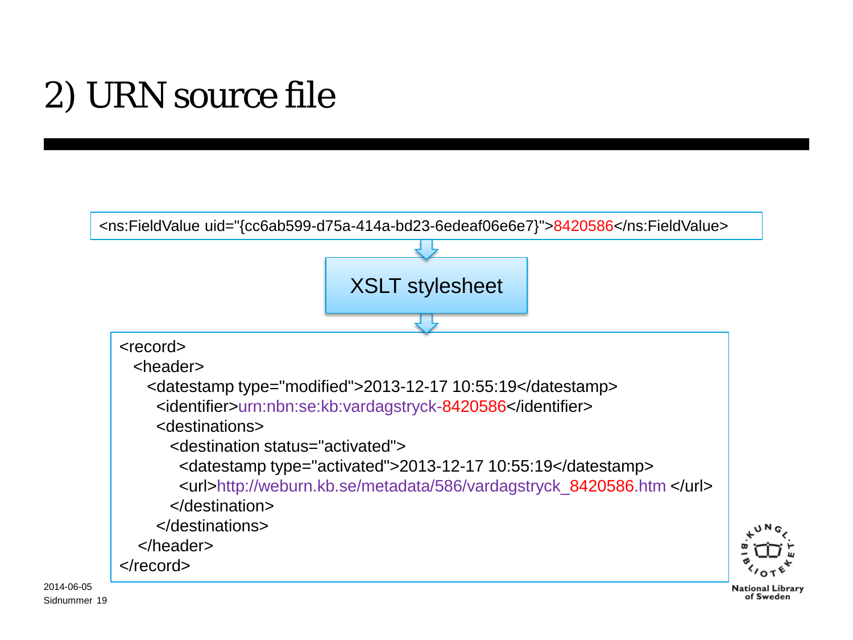# 2) URN source file

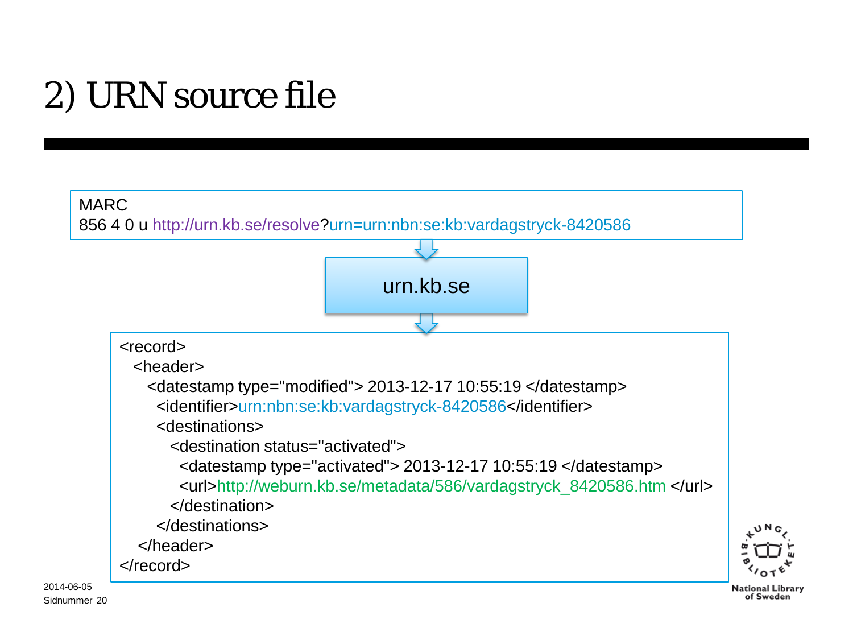# 2) URN source file

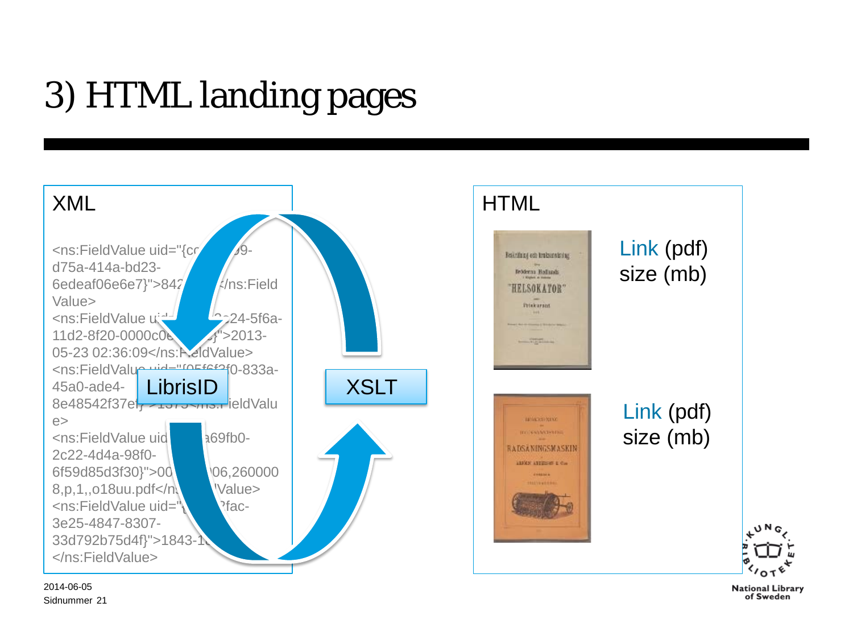# 3) HTML landing pages



Sidnummer 21 2014-06-05

**National Library** of Sweden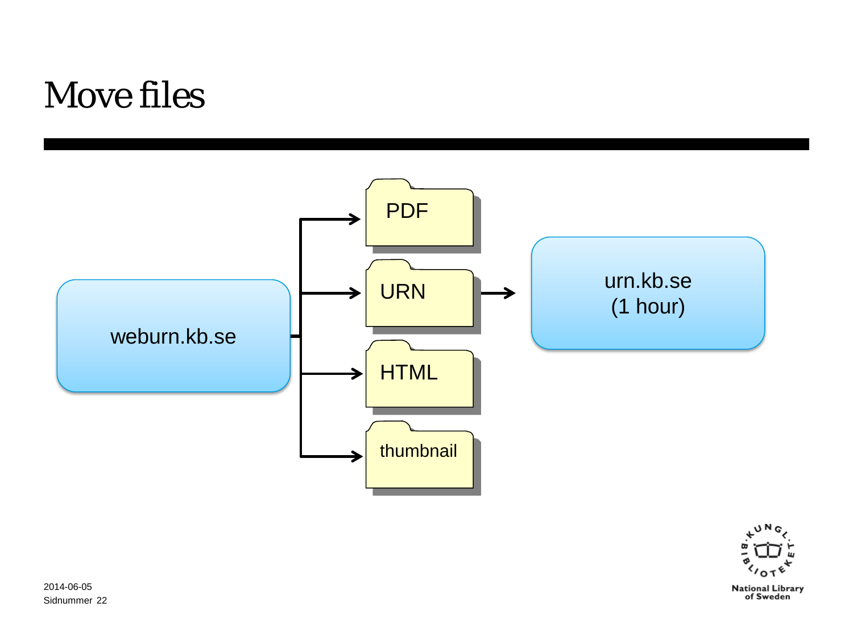### Move files



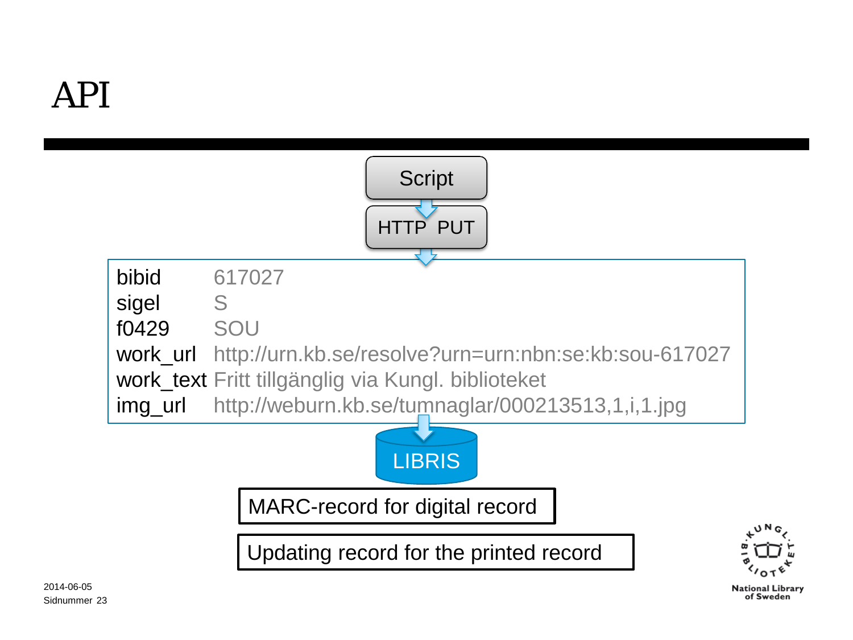

of Sweden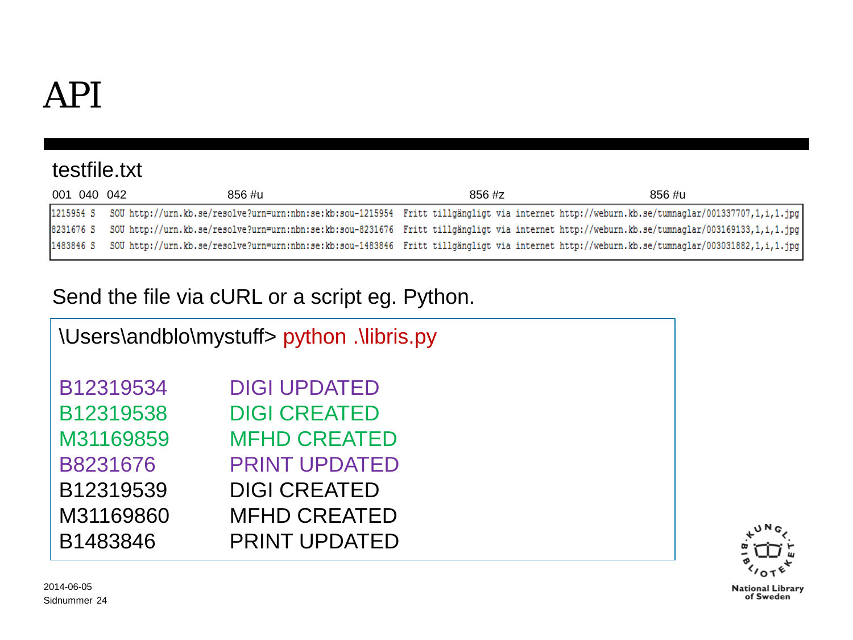### testfile.txt

| 001 040 042 | 856 #u                                                                                                                                                  | $856 \; \text{\#z}$ | 856 #u |
|-------------|---------------------------------------------------------------------------------------------------------------------------------------------------------|---------------------|--------|
|             | 12215954 S SOU http://urn.kb.se/resolve?urn=urn:nbn:se:kb:sou-1215954 Fritt tillgängligt via internet http://weburn.kb.se/tumnaglar/001337707,1,i,1.jpg |                     |        |
|             | 8231676 S SOU http://urn.kb.se/resolve?urn=urn:nbn:se:kb:sou-8231676 Fritt tillgängligt via internet http://weburn.kb.se/tumnaglar/003169133,1,i,1.jpg  |                     |        |
|             | 1483846 S SOU http://urn.kb.se/resolve?urn=urn:nbn:se:kb:sou-1483846 Fritt tillgängligt via internet http://weburn.kb.se/tumnaglar/003031882,1,i,1.jpg  |                     |        |

### Send the file via cURL or a script eg. Python.

| \Users\andblo\mystuff> python .\libris.py |                      |  |  |  |
|-------------------------------------------|----------------------|--|--|--|
|                                           |                      |  |  |  |
|                                           |                      |  |  |  |
| B12319534                                 | <b>DIGI UPDATED</b>  |  |  |  |
|                                           |                      |  |  |  |
| B12319538                                 | <b>DIGI CREATED</b>  |  |  |  |
|                                           |                      |  |  |  |
| M31169859                                 | <b>MFHD CREATED</b>  |  |  |  |
| B8231676                                  | <b>PRINT UPDATED</b> |  |  |  |
|                                           |                      |  |  |  |
| B12319539                                 | <b>DIGI CREATED</b>  |  |  |  |
| M31169860                                 | <b>MFHD CREATED</b>  |  |  |  |
|                                           |                      |  |  |  |
| B1483846                                  | <b>PRINT UPDATED</b> |  |  |  |
|                                           |                      |  |  |  |